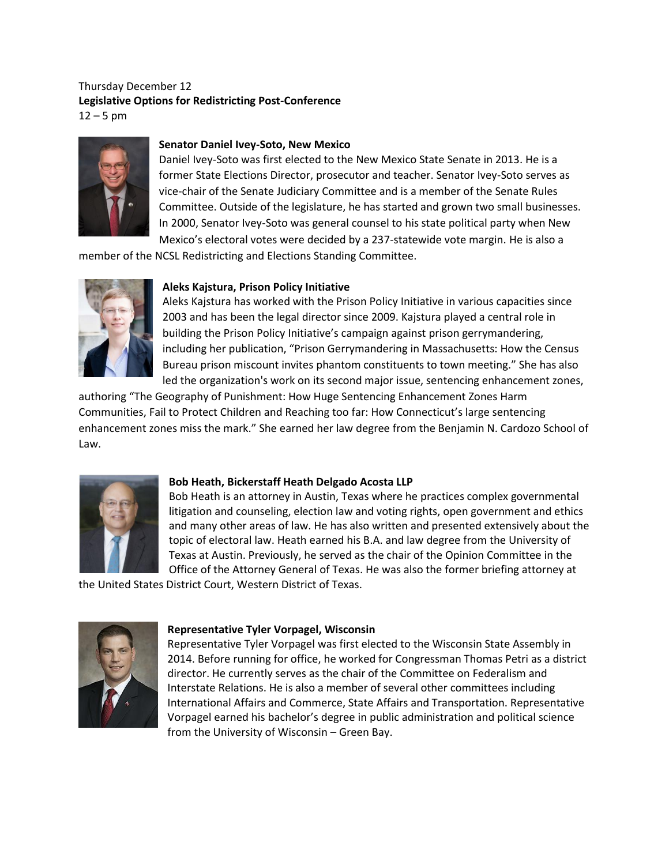# Thursday December 12 **Legislative Options for Redistricting Post-Conference**  $12 - 5$  pm



## **Senator Daniel Ivey-Soto, New Mexico**

Daniel Ivey-Soto was first elected to the New Mexico State Senate in 2013. He is a former State Elections Director, prosecutor and teacher. Senator Ivey-Soto serves as vice-chair of the Senate Judiciary Committee and is a member of the Senate Rules Committee. Outside of the legislature, he has started and grown two small businesses. In 2000, Senator Ivey-Soto was general counsel to his state political party when New Mexico's electoral votes were decided by a 237-statewide vote margin. He is also a

member of the NCSL Redistricting and Elections Standing Committee.



## **Aleks Kajstura, Prison Policy Initiative**

Aleks Kajstura has worked with the Prison Policy Initiative in various capacities since 2003 and has been the legal director since 2009. Kajstura played a central role in building the Prison Policy Initiative's campaign against prison gerrymandering, including her publication, "Prison Gerrymandering in Massachusetts: How the Census Bureau prison miscount invites phantom constituents to town meeting." She has also led the organization's work on its second major issue, sentencing enhancement zones,

authoring "The Geography of Punishment: How Huge Sentencing Enhancement Zones Harm Communities, Fail to Protect Children and Reaching too far: How Connecticut's large sentencing enhancement zones miss the mark." She earned her law degree from the Benjamin N. Cardozo School of Law.



### **Bob Heath, Bickerstaff Heath Delgado Acosta LLP**

Bob Heath is an attorney in Austin, Texas where he practices complex governmental litigation and counseling, election law and voting rights, open government and ethics and many other areas of law. He has also written and presented extensively about the topic of electoral law. Heath earned his B.A. and law degree from the University of Texas at Austin. Previously, he served as the chair of the Opinion Committee in the Office of the Attorney General of Texas. He was also the former briefing attorney at

the United States District Court, Western District of Texas.



### **Representative Tyler Vorpagel, Wisconsin**

Representative Tyler Vorpagel was first elected to the Wisconsin State Assembly in 2014. Before running for office, he worked for Congressman Thomas Petri as a district director. He currently serves as the chair of the Committee on Federalism and Interstate Relations. He is also a member of several other committees including International Affairs and Commerce, State Affairs and Transportation. Representative Vorpagel earned his bachelor's degree in public administration and political science from the University of Wisconsin – Green Bay.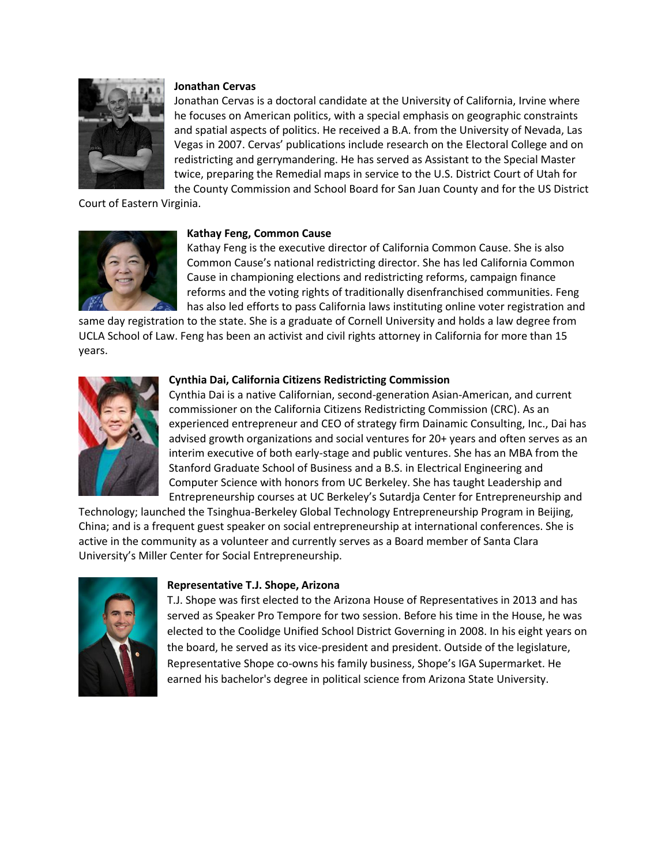

### **Jonathan Cervas**

Jonathan Cervas is a doctoral candidate at the University of California, Irvine where he focuses on American politics, with a special emphasis on geographic constraints and spatial aspects of politics. He received a B.A. from the University of Nevada, Las Vegas in 2007. Cervas' publications include research on the Electoral College and on redistricting and gerrymandering. He has served as Assistant to the Special Master twice, preparing the Remedial maps in service to the U.S. District Court of Utah for the County Commission and School Board for San Juan County and for the US District

Court of Eastern Virginia.



### **Kathay Feng, Common Cause**

Kathay Feng is the executive director of California Common Cause. She is also Common Cause's national redistricting director. She has led California Common Cause in championing elections and redistricting reforms, campaign finance reforms and the voting rights of traditionally disenfranchised communities. Feng has also led efforts to pass California laws instituting online voter registration and

same day registration to the state. She is a graduate of Cornell University and holds a law degree from UCLA School of Law. Feng has been an activist and civil rights attorney in California for more than 15 years.



#### **Cynthia Dai, California Citizens Redistricting Commission**

Cynthia Dai is a native Californian, second-generation Asian-American, and current commissioner on the California Citizens Redistricting Commission (CRC). As an experienced entrepreneur and CEO of strategy firm Dainamic Consulting, Inc., Dai has advised growth organizations and social ventures for 20+ years and often serves as an interim executive of both early-stage and public ventures. She has an MBA from the Stanford Graduate School of Business and a B.S. in Electrical Engineering and Computer Science with honors from UC Berkeley. She has taught Leadership and Entrepreneurship courses at UC Berkeley's Sutardja Center for Entrepreneurship and

Technology; launched the Tsinghua-Berkeley Global Technology Entrepreneurship Program in Beijing, China; and is a frequent guest speaker on social entrepreneurship at international conferences. She is active in the community as a volunteer and currently serves as a Board member of Santa Clara University's Miller Center for Social Entrepreneurship.



#### **Representative T.J. Shope, Arizona**

T.J. Shope was first elected to the Arizona House of Representatives in 2013 and has served as Speaker Pro Tempore for two session. Before his time in the House, he was elected to the Coolidge Unified School District Governing in 2008. In his eight years on the board, he served as its vice-president and president. Outside of the legislature, Representative Shope co-owns his family business, Shope's IGA Supermarket. He earned his bachelor's degree in political science from Arizona State University.